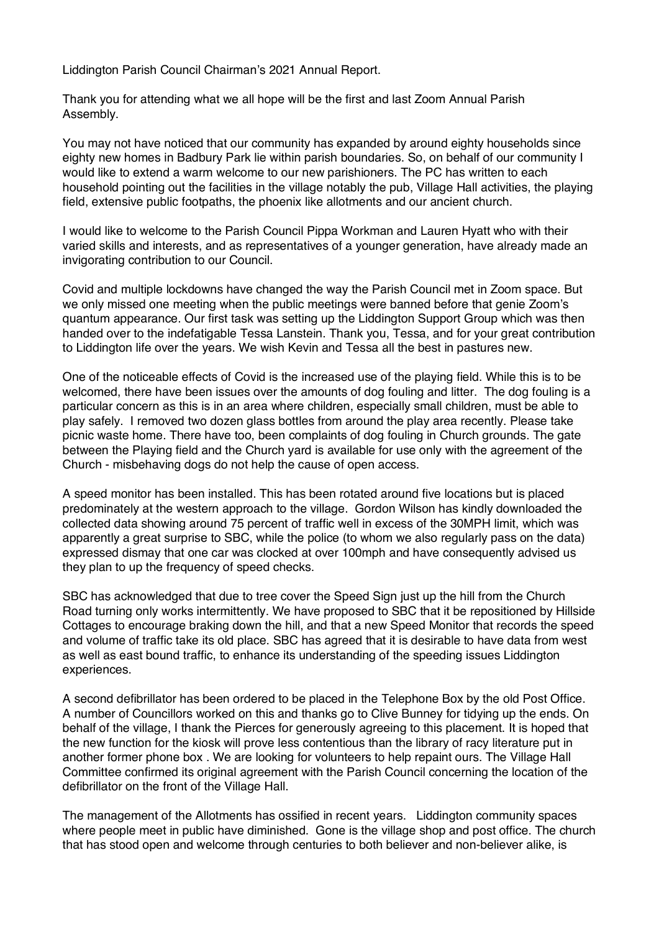Liddington Parish Council Chairman's 2021 Annual Report.

Thank you for attending what we all hope will be the first and last Zoom Annual Parish Assembly.

You may not have noticed that our community has expanded by around eighty households since eighty new homes in Badbury Park lie within parish boundaries. So, on behalf of our community I would like to extend a warm welcome to our new parishioners. The PC has written to each household pointing out the facilities in the village notably the pub, Village Hall activities, the playing field, extensive public footpaths, the phoenix like allotments and our ancient church.

I would like to welcome to the Parish Council Pippa Workman and Lauren Hyatt who with their varied skills and interests, and as representatives of a younger generation, have already made an invigorating contribution to our Council.

Covid and multiple lockdowns have changed the way the Parish Council met in Zoom space. But we only missed one meeting when the public meetings were banned before that genie Zoom's quantum appearance. Our first task was setting up the Liddington Support Group which was then handed over to the indefatigable Tessa Lanstein. Thank you, Tessa, and for your great contribution to Liddington life over the years. We wish Kevin and Tessa all the best in pastures new.

One of the noticeable effects of Covid is the increased use of the playing field. While this is to be welcomed, there have been issues over the amounts of dog fouling and litter. The dog fouling is a particular concern as this is in an area where children, especially small children, must be able to play safely. I removed two dozen glass bottles from around the play area recently. Please take picnic waste home. There have too, been complaints of dog fouling in Church grounds. The gate between the Playing field and the Church yard is available for use only with the agreement of the Church - misbehaving dogs do not help the cause of open access.

A speed monitor has been installed. This has been rotated around five locations but is placed predominately at the western approach to the village. Gordon Wilson has kindly downloaded the collected data showing around 75 percent of traffic well in excess of the 30MPH limit, which was apparently a great surprise to SBC, while the police (to whom we also regularly pass on the data) expressed dismay that one car was clocked at over 100mph and have consequently advised us they plan to up the frequency of speed checks.

SBC has acknowledged that due to tree cover the Speed Sign just up the hill from the Church Road turning only works intermittently. We have proposed to SBC that it be repositioned by Hillside Cottages to encourage braking down the hill, and that a new Speed Monitor that records the speed and volume of traffic take its old place. SBC has agreed that it is desirable to have data from west as well as east bound traffic, to enhance its understanding of the speeding issues Liddington experiences.

A second defibrillator has been ordered to be placed in the Telephone Box by the old Post Office. A number of Councillors worked on this and thanks go to Clive Bunney for tidying up the ends. On behalf of the village, I thank the Pierces for generously agreeing to this placement. It is hoped that the new function for the kiosk will prove less contentious than the library of racy literature put in another former phone box . We are looking for volunteers to help repaint ours. The Village Hall Committee confirmed its original agreement with the Parish Council concerning the location of the defibrillator on the front of the Village Hall.

The management of the Allotments has ossified in recent years. Liddington community spaces where people meet in public have diminished. Gone is the village shop and post office. The church that has stood open and welcome through centuries to both believer and non-believer alike, is